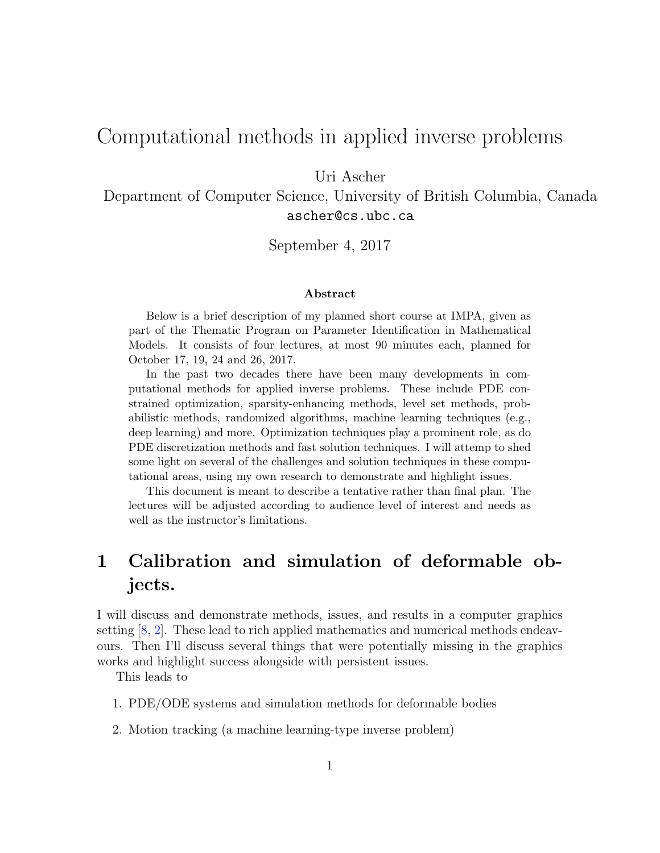## Computational methods in applied inverse problems

Uri Ascher

Department of Computer Science, University of British Columbia, Canada ascher@cs.ubc.ca

September 4, 2017

#### **Abstract**

Below is a brief description of my planned short course at IMPA, given as part of the Thematic Program on Parameter Identification in Mathematical Models. It consists of four lectures, at most 90 minutes each, planned for October 17, 19, 24 and 26, 2017.

In the past two decades there have been many developments in computational methods for applied inverse problems. These include PDE constrained optimization, sparsity-enhancing methods, level set methods, probabilistic methods, randomized algorithms, machine learning techniques (e.g., deep learning) and more. Optimization techniques play a prominent role, as do PDE discretization methods and fast solution techniques. I will attemp to shed some light on several of the challenges and solution techniques in these computational areas, using my own research to demonstrate and highlight issues.

This document is meant to describe a tentative rather than final plan. The lectures will be adjusted according to audience level of interest and needs as well as the instructor's limitations.

## **1 Calibration and simulation of deformable objects.**

I will discuss and demonstrate methods, issues, and results in a computer graphics setting [[8,](#page-3-0) [2\]](#page-2-0). These lead to rich applied mathematics and numerical methods endeavours. Then I'll discuss several things that were potentially missing in the graphics works and highlight success alongside with persistent issues.

This leads to

- 1. PDE/ODE systems and simulation methods for deformable bodies
- 2. Motion tracking (a machine learning-type inverse problem)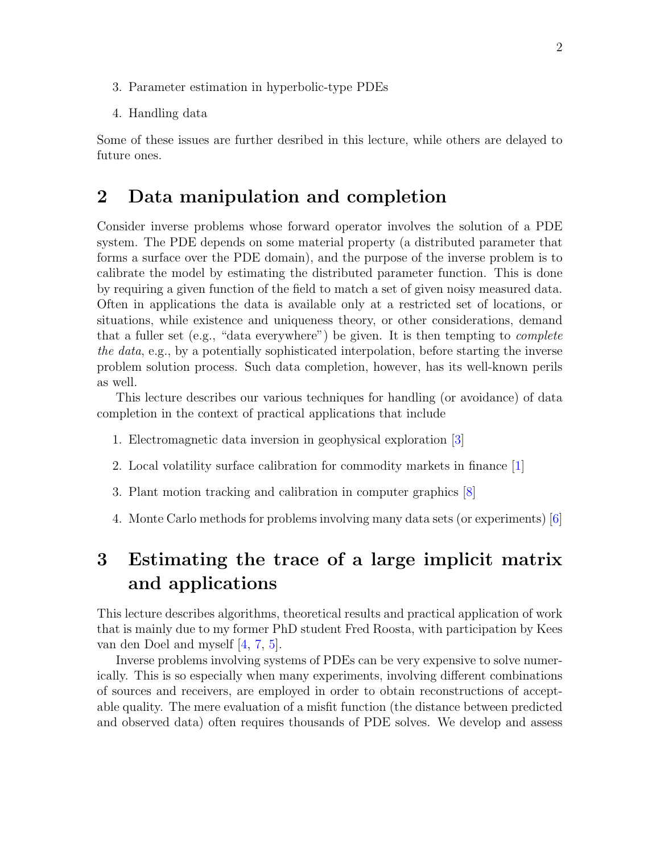- 3. Parameter estimation in hyperbolic-type PDEs
- 4. Handling data

Some of these issues are further desribed in this lecture, while others are delayed to future ones.

## **2 Data manipulation and completion**

Consider inverse problems whose forward operator involves the solution of a PDE system. The PDE depends on some material property (a distributed parameter that forms a surface over the PDE domain), and the purpose of the inverse problem is to calibrate the model by estimating the distributed parameter function. This is done by requiring a given function of the field to match a set of given noisy measured data. Often in applications the data is available only at a restricted set of locations, or situations, while existence and uniqueness theory, or other considerations, demand that a fuller set (e.g., "data everywhere") be given. It is then tempting to *complete the data*, e.g., by a potentially sophisticated interpolation, before starting the inverse problem solution process. Such data completion, however, has its well-known perils as well.

This lecture describes our various techniques for handling (or avoidance) of data completion in the context of practical applications that include

- 1. Electromagnetic data inversion in geophysical exploration [[3\]](#page-2-1)
- 2. Local volatility surface calibration for commodity markets in finance [[1\]](#page-2-2)
- 3. Plant motion tracking and calibration in computer graphics [[8](#page-3-0)]
- 4. Monte Carlo methods for problems involving many data sets (or experiments) [[6\]](#page-3-1)

# **3 Estimating the trace of a large implicit matrix and applications**

This lecture describes algorithms, theoretical results and practical application of work that is mainly due to my former PhD student Fred Roosta, with participation by Kees van den Doel and myself [[4](#page-3-2), [7](#page-3-3), [5](#page-3-4)].

Inverse problems involving systems of PDEs can be very expensive to solve numerically. This is so especially when many experiments, involving different combinations of sources and receivers, are employed in order to obtain reconstructions of acceptable quality. The mere evaluation of a misfit function (the distance between predicted and observed data) often requires thousands of PDE solves. We develop and assess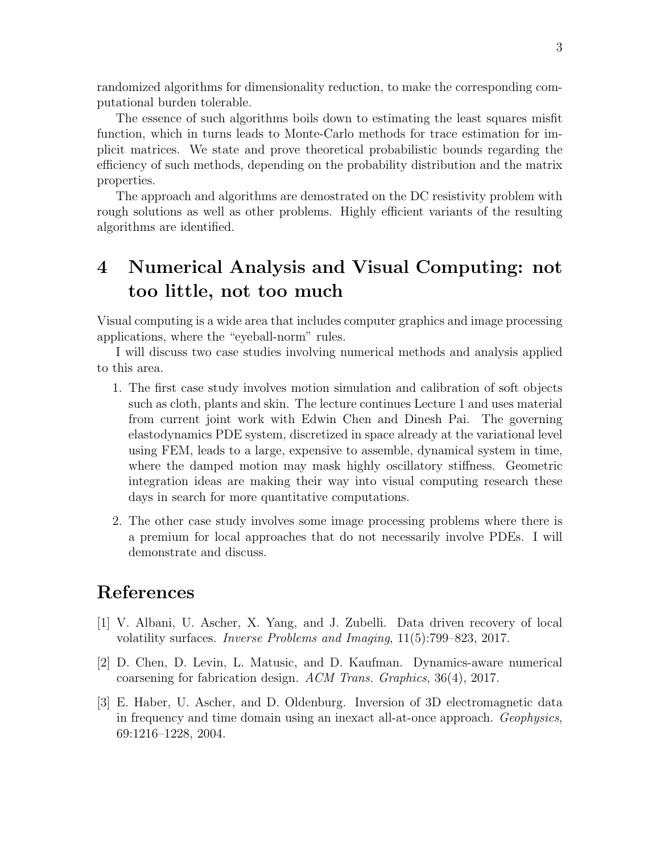randomized algorithms for dimensionality reduction, to make the corresponding computational burden tolerable.

The essence of such algorithms boils down to estimating the least squares misfit function, which in turns leads to Monte-Carlo methods for trace estimation for implicit matrices. We state and prove theoretical probabilistic bounds regarding the efficiency of such methods, depending on the probability distribution and the matrix properties.

The approach and algorithms are demostrated on the DC resistivity problem with rough solutions as well as other problems. Highly efficient variants of the resulting algorithms are identified.

## **4 Numerical Analysis and Visual Computing: not too little, not too much**

Visual computing is a wide area that includes computer graphics and image processing applications, where the "eyeball-norm" rules.

I will discuss two case studies involving numerical methods and analysis applied to this area.

- 1. The first case study involves motion simulation and calibration of soft objects such as cloth, plants and skin. The lecture continues Lecture 1 and uses material from current joint work with Edwin Chen and Dinesh Pai. The governing elastodynamics PDE system, discretized in space already at the variational level using FEM, leads to a large, expensive to assemble, dynamical system in time, where the damped motion may mask highly oscillatory stiffness. Geometric integration ideas are making their way into visual computing research these days in search for more quantitative computations.
- 2. The other case study involves some image processing problems where there is a premium for local approaches that do not necessarily involve PDEs. I will demonstrate and discuss.

### **References**

- <span id="page-2-2"></span>[1] V. Albani, U. Ascher, X. Yang, and J. Zubelli. Data driven recovery of local volatility surfaces. *Inverse Problems and Imaging*, 11(5):799–823, 2017.
- <span id="page-2-0"></span>[2] D. Chen, D. Levin, L. Matusic, and D. Kaufman. Dynamics-aware numerical coarsening for fabrication design. *ACM Trans. Graphics*, 36(4), 2017.
- <span id="page-2-1"></span>[3] E. Haber, U. Ascher, and D. Oldenburg. Inversion of 3D electromagnetic data in frequency and time domain using an inexact all-at-once approach. *Geophysics*, 69:1216–1228, 2004.